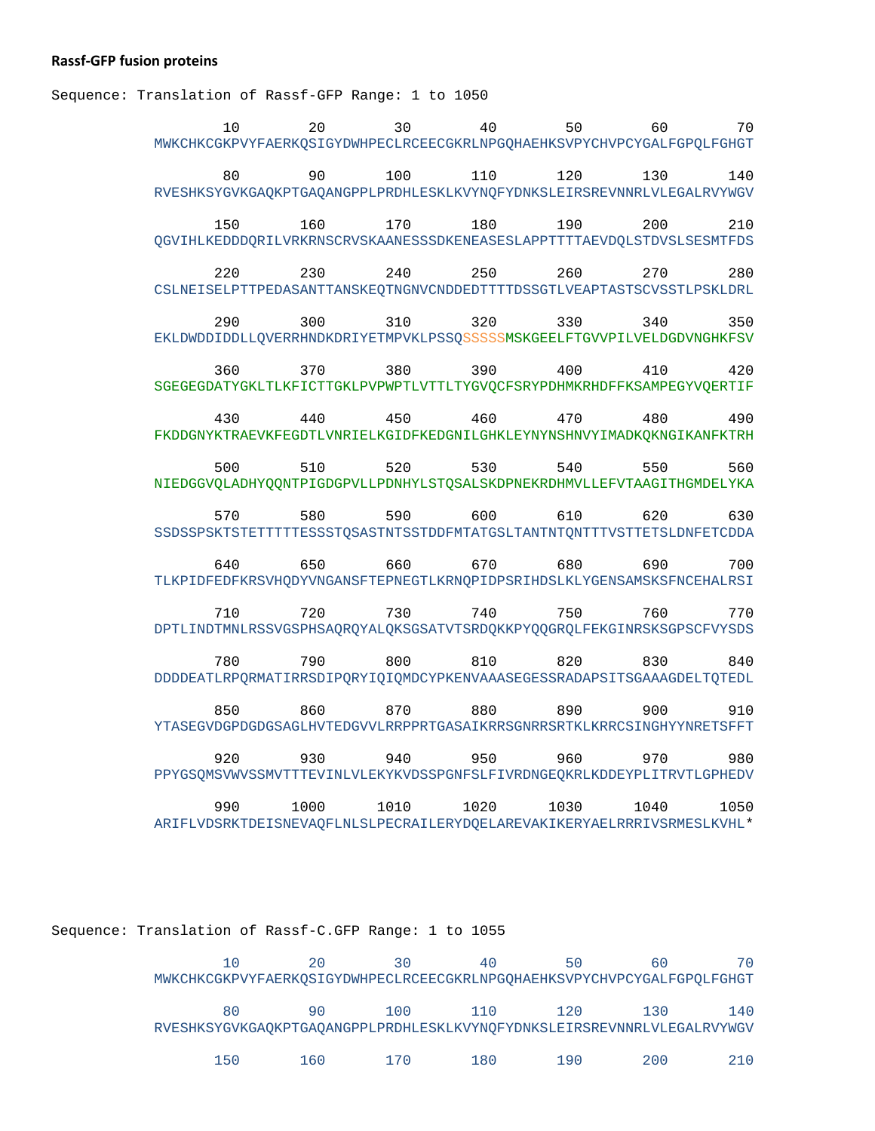## **Rassf-GFP fusion proteins**

Sequence: Translation of Rassf-GFP Range: 1 to 1050

| 10                                                                     | 20   | 30   | 40   | 50   | 60   | 70   |
|------------------------------------------------------------------------|------|------|------|------|------|------|
| MWKCHKCGKPVYFAERKQSIGYDWHPECLRCEECGKRLNPGQHAEHKSVPYCHVPCYGALFGPQLFGHGT |      |      |      |      |      |      |
| 80                                                                     | 90   | 100  | 110  | 120  | 130  | 140  |
| RVESHKSYGVKGAQKPTGAQANGPPLPRDHLESKLKVYNQFYDNKSLEIRSREVNNRLVLEGALRVYWGV |      |      |      |      |      |      |
| 150                                                                    | 160  | 170  | 180  | 190  | 200  | 210  |
| QGVIHLKEDDDQRILVRKRNSCRVSKAANESSSDKENEASESLAPPTTTTAEVDQLSTDVSLSESMTFDS |      |      |      |      |      |      |
| 220                                                                    | 230  | 240  | 250  | 260  | 270  | 280  |
| CSLNEISELPTTPEDASANTTANSKEQTNGNVCNDDEDTTTTDSSGTLVEAPTASTSCVSSTLPSKLDRL |      |      |      |      |      |      |
| 290                                                                    | 300  | 310  | 320  | 330  | 340  | 350  |
| EKLDWDDIDDLLQVERRHNDKDRIYETMPVKLPSSQSSSSSMSKGEELFTGVVPILVELDGDVNGHKFSV |      |      |      |      |      |      |
| 360                                                                    | 370  | 380  | 390  | 400  | 410  | 420  |
| SGEGEGDATYGKLTLKFICTTGKLPVPWPTLVTTLTYGVQCFSRYPDHMKRHDFFKSAMPEGYVQERTIF |      |      |      |      |      |      |
| 430                                                                    | 440  | 450  | 460  | 470  | 480  | 490  |
| FKDDGNYKTRAEVKFEGDTLVNRIELKGIDFKEDGNILGHKLEYNYNSHNVYIMADKQKNGIKANFKTRH |      |      |      |      |      |      |
| 500                                                                    | 510  | 520  | 530  | 540  | 550  | 560  |
| NIEDGGVQLADHYQQNTPIGDGPVLLPDNHYLSTQSALSKDPNEKRDHMVLLEFVTAAGITHGMDELYKA |      |      |      |      |      |      |
| 570                                                                    | 580  | 590  | 600  | 610  | 620  | 630  |
| SSDSSPSKTSTETTTTESSSTQSASTNTSSTDDFMTATGSLTANTNTQNTTTVSTTETSLDNFETCDDA  |      |      |      |      |      |      |
| 640                                                                    | 650  | 660  | 670  | 680  | 690  | 700  |
| TLKPIDFEDFKRSVHQDYVNGANSFTEPNEGTLKRNQPIDPSRIHDSLKLYGENSAMSKSFNCEHALRSI |      |      |      |      |      |      |
| 710                                                                    | 720  | 730  | 740  | 750  | 760  | 770  |
| DPTLINDTMNLRSSVGSPHSAQRQYALQKSGSATVTSRDQKKPYQQGRQLFEKGINRSKSGPSCFVYSDS |      |      |      |      |      |      |
| 780                                                                    | 790  | 800  | 810  | 820  | 830  | 840  |
| DDDDEATLRPQRMATIRRSDIPQRYIQIQMDCYPKENVAAASEGESSRADAPSITSGAAAGDELTQTEDL |      |      |      |      |      |      |
| 850                                                                    | 860  | 870  | 880  | 890  | 900  | 910  |
| YTASEGVDGPDGDGSAGLHVTEDGVVLRRPPRTGASAIKRRSGNRRSRTKLKRRCSINGHYYNRETSFFT |      |      |      |      |      |      |
| 920                                                                    | 930  | 940  | 950  | 960  | 970  | 980  |
| PPYGSQMSVWVSSMVTTTEVINLVLEKYKVDSSPGNFSLFIVRDNGEQKRLKDDEYPLITRVTLGPHEDV |      |      |      |      |      |      |
| 990                                                                    | 1000 | 1010 | 1020 | 1030 | 1040 | 1050 |
| ARIFLVDSRKTDEISNEVAQFLNLSLPECRAILERYDQELAREVAKIKERYAELRRRIVSRMESLKVHL* |      |      |      |      |      |      |

Sequence: Translation of Rassf-C.GFP Range: 1 to 1055

|                                                                        | 20  | 30               | 40    | 50  | 60  |     |
|------------------------------------------------------------------------|-----|------------------|-------|-----|-----|-----|
| MWKCHKCGKPVYFAERKOSIGYDWHPECLRCEECGKRLNPGOHAEHKSVPYCHVPCYGALFGPOLFGHGT |     |                  |       |     |     |     |
| 80                                                                     | 90  | 100 <sup>-</sup> | 11 O  | 120 | 130 | 140 |
| RVESHKSYGVKGAOKPTGAOANGPPLPRDHLESKLKVYNOFYDNKSLEIRSREVNNRLVLEGALRVYWGV |     |                  |       |     |     |     |
| 150                                                                    | 160 | 170              | 1 8 0 | 190 | 200 |     |